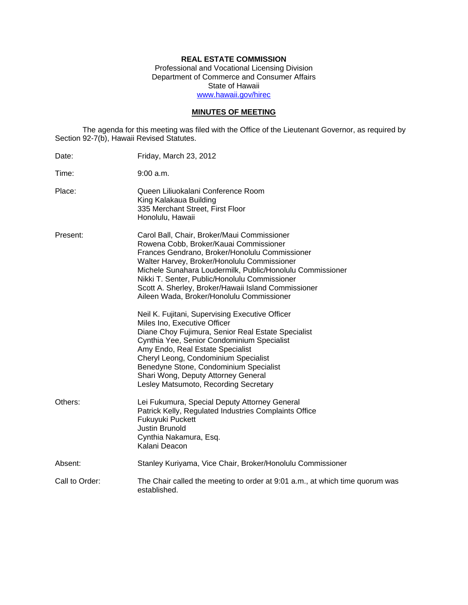## **REAL ESTATE COMMISSION**

Professional and Vocational Licensing Division Department of Commerce and Consumer Affairs State of Hawaii www.hawaii.gov/hirec

## **MINUTES OF MEETING**

The agenda for this meeting was filed with the Office of the Lieutenant Governor, as required by Section 92-7(b), Hawaii Revised Statutes.

| Date:          | Friday, March 23, 2012                                                                                                                                                                                                                                                                                                                                                                                                                                                                                                                                                                                                                                                                                                                                                                                |
|----------------|-------------------------------------------------------------------------------------------------------------------------------------------------------------------------------------------------------------------------------------------------------------------------------------------------------------------------------------------------------------------------------------------------------------------------------------------------------------------------------------------------------------------------------------------------------------------------------------------------------------------------------------------------------------------------------------------------------------------------------------------------------------------------------------------------------|
| Time:          | $9:00$ a.m.                                                                                                                                                                                                                                                                                                                                                                                                                                                                                                                                                                                                                                                                                                                                                                                           |
| Place:         | Queen Liliuokalani Conference Room<br>King Kalakaua Building<br>335 Merchant Street, First Floor<br>Honolulu, Hawaii                                                                                                                                                                                                                                                                                                                                                                                                                                                                                                                                                                                                                                                                                  |
| Present:       | Carol Ball, Chair, Broker/Maui Commissioner<br>Rowena Cobb, Broker/Kauai Commissioner<br>Frances Gendrano, Broker/Honolulu Commissioner<br>Walter Harvey, Broker/Honolulu Commissioner<br>Michele Sunahara Loudermilk, Public/Honolulu Commissioner<br>Nikki T. Senter, Public/Honolulu Commissioner<br>Scott A. Sherley, Broker/Hawaii Island Commissioner<br>Aileen Wada, Broker/Honolulu Commissioner<br>Neil K. Fujitani, Supervising Executive Officer<br>Miles Ino, Executive Officer<br>Diane Choy Fujimura, Senior Real Estate Specialist<br>Cynthia Yee, Senior Condominium Specialist<br>Amy Endo, Real Estate Specialist<br>Cheryl Leong, Condominium Specialist<br>Benedyne Stone, Condominium Specialist<br>Shari Wong, Deputy Attorney General<br>Lesley Matsumoto, Recording Secretary |
| Others:        | Lei Fukumura, Special Deputy Attorney General<br>Patrick Kelly, Regulated Industries Complaints Office<br>Fukuyuki Puckett<br>Justin Brunold<br>Cynthia Nakamura, Esq.<br>Kalani Deacon                                                                                                                                                                                                                                                                                                                                                                                                                                                                                                                                                                                                               |
| Absent:        | Stanley Kuriyama, Vice Chair, Broker/Honolulu Commissioner                                                                                                                                                                                                                                                                                                                                                                                                                                                                                                                                                                                                                                                                                                                                            |
| Call to Order: | The Chair called the meeting to order at 9:01 a.m., at which time quorum was<br>established.                                                                                                                                                                                                                                                                                                                                                                                                                                                                                                                                                                                                                                                                                                          |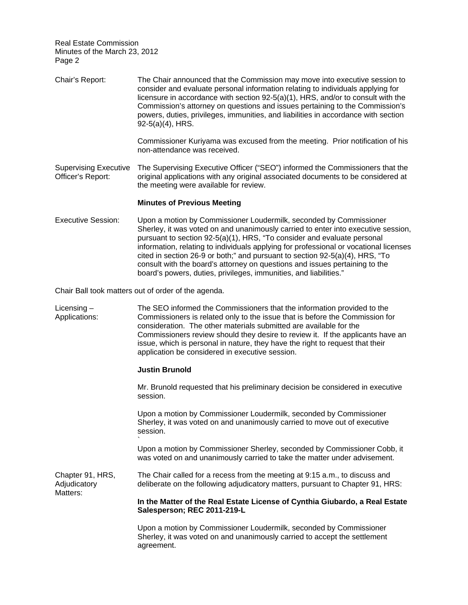Chair's Report: The Chair announced that the Commission may move into executive session to consider and evaluate personal information relating to individuals applying for licensure in accordance with section 92-5(a)(1), HRS, and/or to consult with the Commission's attorney on questions and issues pertaining to the Commission's powers, duties, privileges, immunities, and liabilities in accordance with section 92-5(a)(4), HRS. Commissioner Kuriyama was excused from the meeting. Prior notification of his non-attendance was received. Supervising Executive The Supervising Executive Officer ("SEO") informed the Commissioners that the Officer's Report: original applications with any original associated documents to be considered at the meeting were available for review.

### **Minutes of Previous Meeting**

Executive Session: Upon a motion by Commissioner Loudermilk, seconded by Commissioner Sherley, it was voted on and unanimously carried to enter into executive session, pursuant to section 92-5(a)(1), HRS, "To consider and evaluate personal information, relating to individuals applying for professional or vocational licenses cited in section 26-9 or both;" and pursuant to section 92-5(a)(4), HRS, "To consult with the board's attorney on questions and issues pertaining to the board's powers, duties, privileges, immunities, and liabilities."

Chair Ball took matters out of order of the agenda.

`

Licensing – The SEO informed the Commissioners that the information provided to the Applications: Commissioners is related only to the issue that is before the Commission for consideration. The other materials submitted are available for the Commissioners review should they desire to review it. If the applicants have an issue, which is personal in nature, they have the right to request that their application be considered in executive session.

#### **Justin Brunold**

Mr. Brunold requested that his preliminary decision be considered in executive session.

Upon a motion by Commissioner Loudermilk, seconded by Commissioner Sherley, it was voted on and unanimously carried to move out of executive session.

Upon a motion by Commissioner Sherley, seconded by Commissioner Cobb, it was voted on and unanimously carried to take the matter under advisement.

Adjudicatory Chapter 91, HRS, The Chair called for a recess from the meeting at 9:15 a.m., to discuss and deliberate on the following adjudicatory matters, pursuant to Chapter 91, HRS: Matters:

> **In the Matter of the Real Estate License of Cynthia Giubardo, a Real Estate Salesperson; REC 2011-219-L**

Upon a motion by Commissioner Loudermilk, seconded by Commissioner Sherley, it was voted on and unanimously carried to accept the settlement agreement.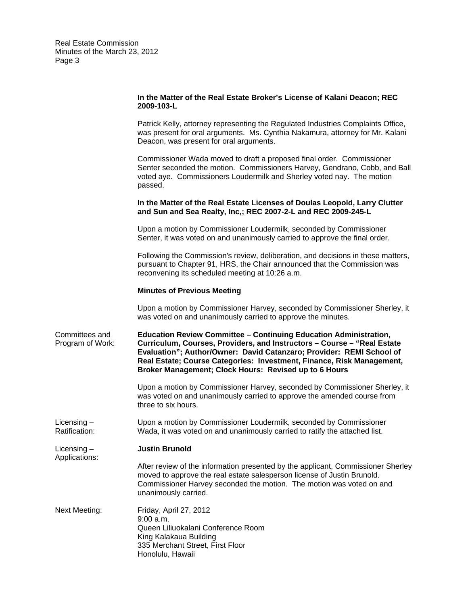#### **In the Matter of the Real Estate Broker's License of Kalani Deacon; REC 2009-103-L**

Patrick Kelly, attorney representing the Regulated Industries Complaints Office, was present for oral arguments. Ms. Cynthia Nakamura, attorney for Mr. Kalani Deacon, was present for oral arguments.

Commissioner Wada moved to draft a proposed final order. Commissioner Senter seconded the motion. Commissioners Harvey, Gendrano, Cobb, and Ball voted aye. Commissioners Loudermilk and Sherley voted nay. The motion passed.

#### **In the Matter of the Real Estate Licenses of Doulas Leopold, Larry Clutter and Sun and Sea Realty, Inc,; REC 2007-2-L and REC 2009-245-L**

Upon a motion by Commissioner Loudermilk, seconded by Commissioner Senter, it was voted on and unanimously carried to approve the final order.

Following the Commission's review, deliberation, and decisions in these matters, pursuant to Chapter 91, HRS, the Chair announced that the Commission was reconvening its scheduled meeting at 10:26 a.m.

#### **Minutes of Previous Meeting**

Upon a motion by Commissioner Harvey, seconded by Commissioner Sherley, it was voted on and unanimously carried to approve the minutes.

Committees and **Education Review Committee – Continuing Education Administration,**  Program of Work: **Curriculum, Courses, Providers, and Instructors – Course – "Real Estate Evaluation"; Author/Owner: David Catanzaro; Provider: REMI School of Real Estate; Course Categories: Investment, Finance, Risk Management, Broker Management; Clock Hours: Revised up to 6 Hours** 

> Upon a motion by Commissioner Harvey, seconded by Commissioner Sherley, it was voted on and unanimously carried to approve the amended course from three to six hours.

Licensing – Upon a motion by Commissioner Loudermilk, seconded by Commissioner Ratification: Wada, it was voted on and unanimously carried to ratify the attached list.

Applications: Licensing – **Justin Brunold** 

After review of the information presented by the applicant, Commissioner Sherley moved to approve the real estate salesperson license of Justin Brunold. Commissioner Harvey seconded the motion. The motion was voted on and unanimously carried.

**Next Meeting:** Friday, April 27, 2012 9:00 a.m. Queen Liliuokalani Conference Room King Kalakaua Building 335 Merchant Street, First Floor Honolulu, Hawaii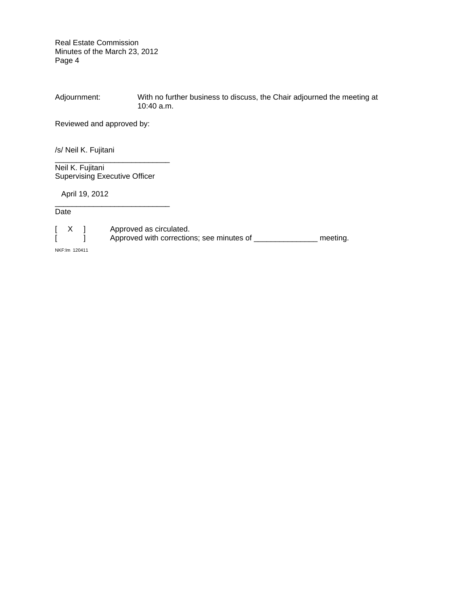Adjournment: With no further business to discuss, the Chair adjourned the meeting at 10:40 a.m.

Reviewed and approved by:

/s/ Neil K. Fujitani

Neil K. Fujitani Supervising Executive Officer

\_\_\_\_\_\_\_\_\_\_\_\_\_\_\_\_\_\_\_\_\_\_\_\_\_\_\_

\_\_\_\_\_\_\_\_\_\_\_\_\_\_\_\_\_\_\_\_\_\_\_\_\_\_\_

April 19, 2012

**Date** 

[ X ] Approved as circulated. [ ] Approved with corrections; see minutes of \_\_\_\_\_\_\_\_\_\_\_\_\_\_\_\_ meeting.

NKF:lm 120411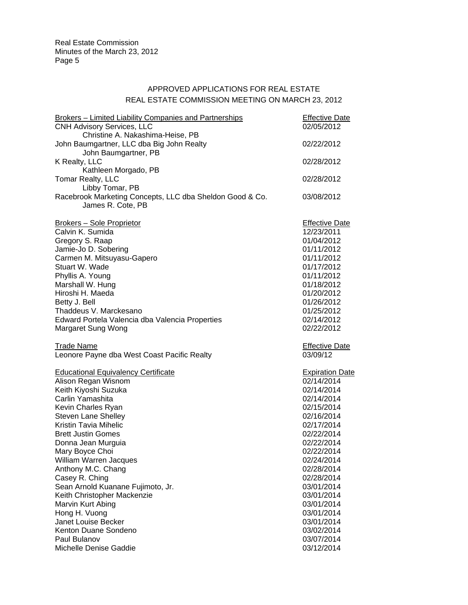# APPROVED APPLICATIONS FOR REAL ESTATE REAL ESTATE COMMISSION MEETING ON MARCH 23, 2012

| <b>Brokers - Limited Liability Companies and Partnerships</b><br><b>CNH Advisory Services, LLC</b> | <b>Effective Date</b><br>02/05/2012 |  |
|----------------------------------------------------------------------------------------------------|-------------------------------------|--|
| Christine A. Nakashima-Heise, PB<br>John Baumgartner, LLC dba Big John Realty                      | 02/22/2012                          |  |
| John Baumgartner, PB<br>K Realty, LLC<br>Kathleen Morgado, PB                                      | 02/28/2012                          |  |
| Tomar Realty, LLC<br>Libby Tomar, PB                                                               | 02/28/2012                          |  |
| Racebrook Marketing Concepts, LLC dba Sheldon Good & Co.<br>James R. Cote, PB                      | 03/08/2012                          |  |
| <b>Brokers - Sole Proprietor</b>                                                                   | <b>Effective Date</b>               |  |
| Calvin K. Sumida                                                                                   | 12/23/2011                          |  |
| Gregory S. Raap                                                                                    | 01/04/2012                          |  |
| Jamie-Jo D. Sobering                                                                               | 01/11/2012                          |  |
| Carmen M. Mitsuyasu-Gapero                                                                         | 01/11/2012                          |  |
| Stuart W. Wade                                                                                     | 01/17/2012                          |  |
| Phyllis A. Young                                                                                   | 01/11/2012                          |  |
| Marshall W. Hung                                                                                   | 01/18/2012                          |  |
| Hiroshi H. Maeda                                                                                   | 01/20/2012                          |  |
| Betty J. Bell                                                                                      | 01/26/2012                          |  |
| Thaddeus V. Marckesano                                                                             | 01/25/2012                          |  |
| Edward Portela Valencia dba Valencia Properties                                                    | 02/14/2012                          |  |
| Margaret Sung Wong                                                                                 | 02/22/2012                          |  |
| <b>Trade Name</b>                                                                                  | <b>Effective Date</b>               |  |
| Leonore Payne dba West Coast Pacific Realty                                                        | 03/09/12                            |  |
| <b>Educational Equivalency Certificate</b>                                                         | <b>Expiration Date</b>              |  |
| Alison Regan Wisnom                                                                                | 02/14/2014                          |  |
| Keith Kiyoshi Suzuka                                                                               | 02/14/2014                          |  |
| Carlin Yamashita                                                                                   | 02/14/2014                          |  |
| Kevin Charles Ryan                                                                                 | 02/15/2014                          |  |
| <b>Steven Lane Shelley</b>                                                                         | 02/16/2014                          |  |
| Kristin Tavia Mihelic                                                                              | 02/17/2014                          |  |
| <b>Brett Justin Gomes</b>                                                                          | 02/22/2014                          |  |
| Donna Jean Murguia                                                                                 | 02/22/2014                          |  |
| Mary Boyce Choi                                                                                    | 02/22/2014                          |  |
| William Warren Jacques                                                                             | 02/24/2014                          |  |
| Anthony M.C. Chang                                                                                 | 02/28/2014                          |  |
| Casey R. Ching                                                                                     | 02/28/2014                          |  |
| Sean Arnold Kuanane Fujimoto, Jr.                                                                  | 03/01/2014                          |  |
| Keith Christopher Mackenzie                                                                        | 03/01/2014                          |  |
| Marvin Kurt Abing                                                                                  | 03/01/2014                          |  |
| Hong H. Vuong                                                                                      | 03/01/2014                          |  |
| Janet Louise Becker                                                                                | 03/01/2014                          |  |
| Kenton Duane Sondeno                                                                               | 03/02/2014                          |  |
| Paul Bulanov                                                                                       | 03/07/2014                          |  |
| Michelle Denise Gaddie                                                                             | 03/12/2014                          |  |
|                                                                                                    |                                     |  |